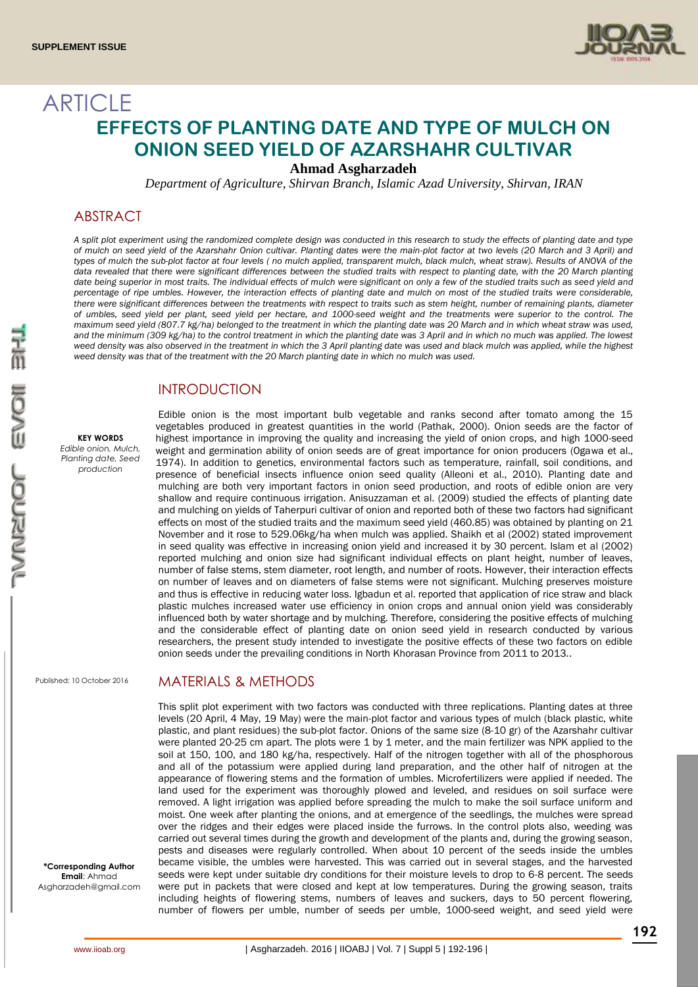

# **ARTICLE EFFECTS OF PLANTING DATE AND TYPE OF MULCH ON ONION SEED YIELD OF AZARSHAHR CULTIVAR**

**Ahmad Asgharzadeh**

*Department of Agriculture, Shirvan Branch, Islamic Azad University, Shirvan, IRAN*

### ABSTRACT

*A split plot experiment using the randomized complete design was conducted in this research to study the effects of planting date and type of mulch on seed yield of the Azarshahr Onion cultivar. Planting dates were the main-plot factor at two levels (20 March and 3 April) and types of mulch the sub-plot factor at four levels ( no mulch applied, transparent mulch, black mulch, wheat straw). Results of ANOVA of the*  data revealed that there were significant differences between the studied traits with respect to planting date, with the 20 March planting date being superior in most traits. The individual effects of mulch were significant on only a few of the studied traits such as seed yield and *percentage of ripe umbles. However, the interaction effects of planting date and mulch on most of the studied traits were considerable, there were significant differences between the treatments with respect to traits such as stem height, number of remaining plants, diameter of umbles, seed yield per plant, seed yield per hectare, and 1000-seed weight and the treatments were superior to the control. The maximum seed yield (807.7 kg/ha) belonged to the treatment in which the planting date was 20 March and in which wheat straw was used,*  and the minimum (309 kg/ha) to the control treatment in which the planting date was 3 April and in which no much was applied. The lowest *weed density was also observed in the treatment in which the 3 April planting date was used and black mulch was applied, while the highest weed density was that of the treatment with the 20 March planting date in which no mulch was used.* 

# **INTRODUCTION**

#### **KEY WORDS**

*Edible onion, Mulch, Planting date, Seed production*

Edible onion is the most important bulb vegetable and ranks second after tomato among the 15 vegetables produced in greatest quantities in the world (Pathak, 2000). Onion seeds are the factor of highest importance in improving the quality and increasing the yield of onion crops, and high 1000-seed weight and germination ability of onion seeds are of great importance for onion producers (Ogawa et al., 1974). In addition to genetics, environmental factors such as temperature, rainfall, soil conditions, and presence of beneficial insects influence onion seed quality (Alleoni et al., 2010). Planting date and mulching are both very important factors in onion seed production, and roots of edible onion are very shallow and require continuous irrigation. Anisuzzaman et al. (2009) studied the effects of planting date and mulching on yields of Taherpuri cultivar of onion and reported both of these two factors had significant effects on most of the studied traits and the maximum seed yield (460.85) was obtained by planting on 21 November and it rose to 529.06kg/ha when mulch was applied. Shaikh et al (2002) stated improvement in seed quality was effective in increasing onion yield and increased it by 30 percent. Islam et al (2002) reported mulching and onion size had significant individual effects on plant height, number of leaves, number of false stems, stem diameter, root length, and number of roots. However, their interaction effects on number of leaves and on diameters of false stems were not significant. Mulching preserves moisture and thus is effective in reducing water loss. Igbadun et al. reported that application of rice straw and black plastic mulches increased water use efficiency in onion crops and annual onion yield was considerably influenced both by water shortage and by mulching. Therefore, considering the positive effects of mulching and the considerable effect of planting date on onion seed yield in research conducted by various researchers, the present study intended to investigate the positive effects of these two factors on edible onion seeds under the prevailing conditions in North Khorasan Province from 2011 to 2013..

Published: 10 October 2016

MATERIALS & METHODS

This split plot experiment with two factors was conducted with three replications. Planting dates at three levels (20 April, 4 May, 19 May) were the main-plot factor and various types of mulch (black plastic, white plastic, and plant residues) the sub-plot factor. Onions of the same size (8-10 gr) of the Azarshahr cultivar were planted 20-25 cm apart. The plots were 1 by 1 meter, and the main fertilizer was NPK applied to the soil at 150, 100, and 180 kg/ha, respectively. Half of the nitrogen together with all of the phosphorous and all of the potassium were applied during land preparation, and the other half of nitrogen at the appearance of flowering stems and the formation of umbles. Microfertilizers were applied if needed. The land used for the experiment was thoroughly plowed and leveled, and residues on soil surface were removed. A light irrigation was applied before spreading the mulch to make the soil surface uniform and moist. One week after planting the onions, and at emergence of the seedlings, the mulches were spread over the ridges and their edges were placed inside the furrows. In the control plots also, weeding was carried out several times during the growth and development of the plants and, during the growing season, pests and diseases were regularly controlled. When about 10 percent of the seeds inside the umbles became visible, the umbles were harvested. This was carried out in several stages, and the harvested seeds were kept under suitable dry conditions for their moisture levels to drop to 6-8 percent. The seeds were put in packets that were closed and kept at low temperatures. During the growing season, traits including heights of flowering stems, numbers of leaves and suckers, days to 50 percent flowering, number of flowers per umble, number of seeds per umble, 1000-seed weight, and seed yield were

**\*Corresponding Author Email**: Ahmad Asgharzadeh@gmail.com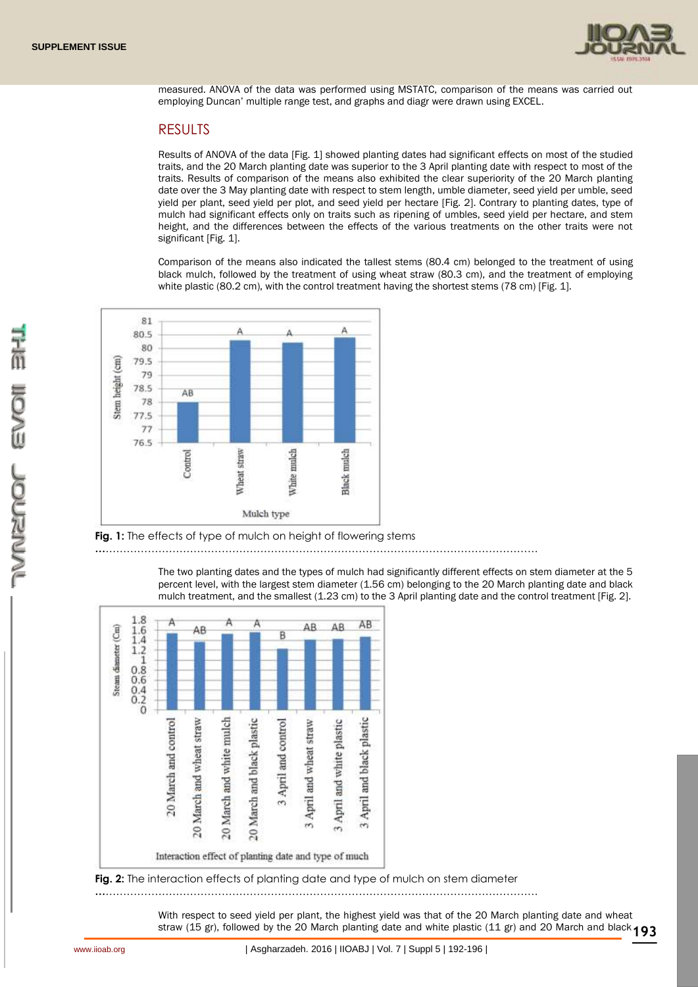

measured. ANOVA of the data was performed using MSTATC, comparison of the means was carried out employing Duncan' multiple range test, and graphs and diagr were drawn using EXCEL.

# RESULTS

Results of ANOVA of the data [Fig. 1] showed planting dates had significant effects on most of the studied traits, and the 20 March planting date was superior to the 3 April planting date with respect to most of the traits. Results of comparison of the means also exhibited the clear superiority of the 20 March planting date over the 3 May planting date with respect to stem length, umble diameter, seed yield per umble, seed yield per plant, seed yield per plot, and seed yield per hectare [Fig. 2]. Contrary to planting dates, type of mulch had significant effects only on traits such as ripening of umbles, seed yield per hectare, and stem height, and the differences between the effects of the various treatments on the other traits were not significant [Fig. 1].

Comparison of the means also indicated the tallest stems (80.4 cm) belonged to the treatment of using black mulch, followed by the treatment of using wheat straw (80.3 cm), and the treatment of employing white plastic (80.2 cm), with the control treatment having the shortest stems (78 cm) [Fig. 1].



### **Fig. 1:** The effects of type of mulch on height of flowering stems

**…**……………………………………………………………………………………………………………

The two planting dates and the types of mulch had significantly different effects on stem diameter at the 5 percent level, with the largest stem diameter (1.56 cm) belonging to the 20 March planting date and black mulch treatment, and the smallest (1.23 cm) to the 3 April planting date and the control treatment [Fig. 2].



**Fig. 2:** The interaction effects of planting date and type of mulch on stem diameter

**…**……………………………………………………………………………………………………………

straw (15 gr), followed by the 20 March planting date and white plastic (11 gr) and 20 March and black **193** With respect to seed yield per plant, the highest yield was that of the 20 March planting date and wheat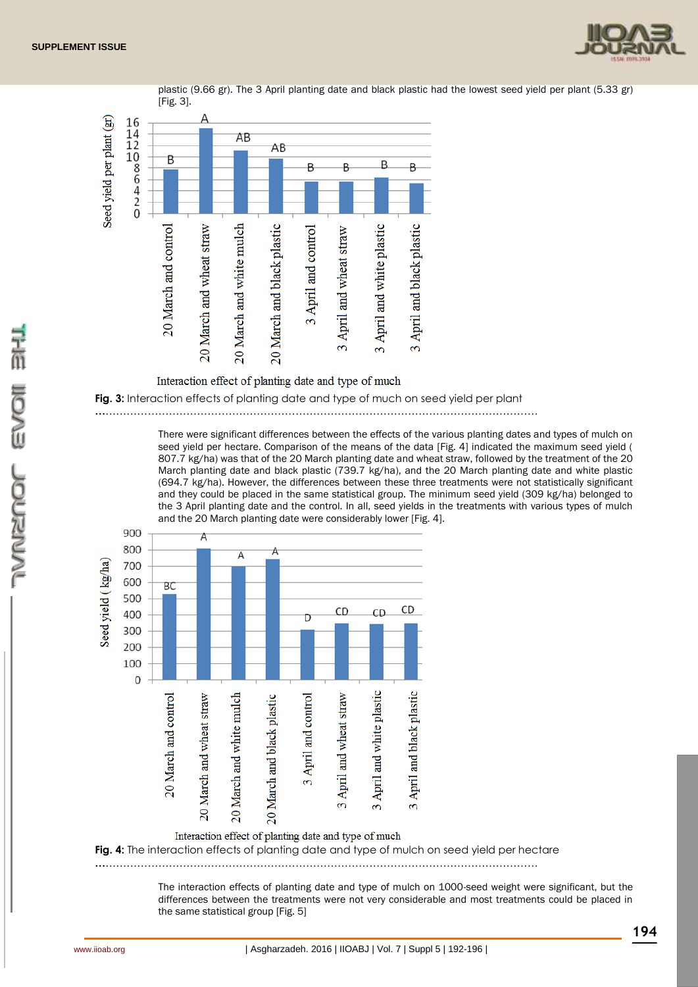



plastic (9.66 gr). The 3 April planting date and black plastic had the lowest seed yield per plant (5.33 gr)



There were significant differences between the effects of the various planting dates and types of mulch on seed yield per hectare. Comparison of the means of the data [Fig. 4] indicated the maximum seed yield ( 807.7 kg/ha) was that of the 20 March planting date and wheat straw, followed by the treatment of the 20 March planting date and black plastic (739.7 kg/ha), and the 20 March planting date and white plastic (694.7 kg/ha). However, the differences between these three treatments were not statistically significant and they could be placed in the same statistical group. The minimum seed yield (309 kg/ha) belonged to the 3 April planting date and the control. In all, seed yields in the treatments with various types of mulch and the 20 March planting date were considerably lower [Fig. 4].



**Fig. 4:** The interaction effects of planting date and type of mulch on seed yield per hectare

**…**……………………………………………………………………………………………………………

The interaction effects of planting date and type of mulch on 1000-seed weight were significant, but the differences between the treatments were not very considerable and most treatments could be placed in the same statistical group [Fig. 5]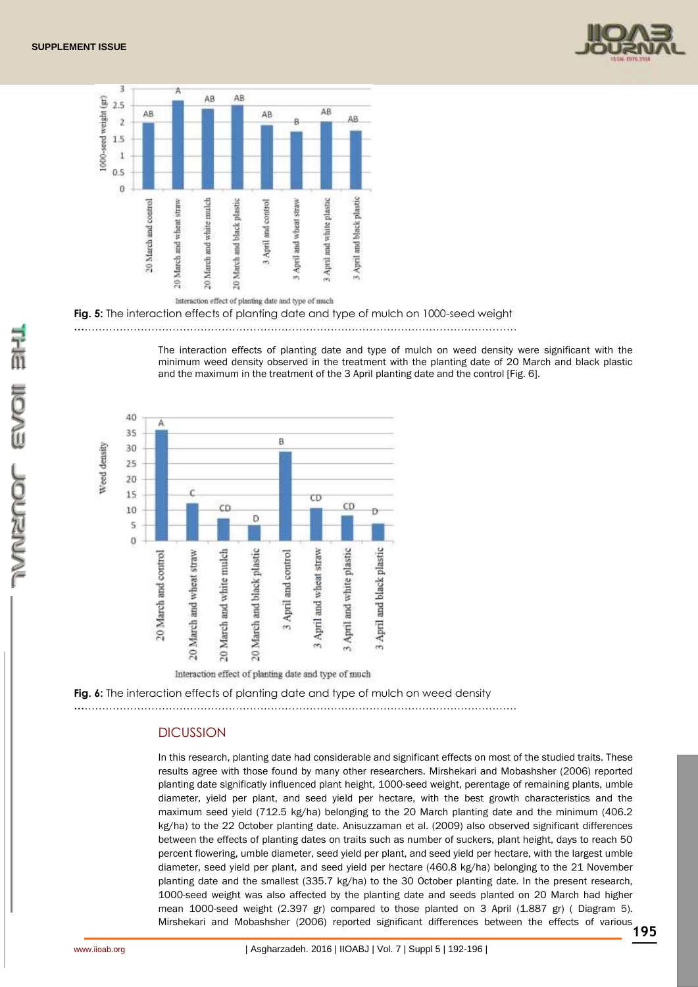



**Fig. 5:** The interaction effects of planting date and type of mulch on 1000-seed weight

**…**……………………………………………………………………………………………………………

The interaction effects of planting date and type of mulch on weed density were significant with the minimum weed density observed in the treatment with the planting date of 20 March and black plastic and the maximum in the treatment of the 3 April planting date and the control [Fig. 6].



**Fig. 6:** The interaction effects of planting date and type of mulch on weed density

**…**……………………………………………………………………………………………………………

#### **DICUSSION**

In this research, planting date had considerable and significant effects on most of the studied traits. These results agree with those found by many other researchers. Mirshekari and Mobashsher (2006) reported planting date significatly influenced plant height, 1000-seed weight, perentage of remaining plants, umble diameter, yield per plant, and seed yield per hectare, with the best growth characteristics and the maximum seed yield (712.5 kg/ha) belonging to the 20 March planting date and the minimum (406.2 kg/ha) to the 22 October planting date. Anisuzzaman et al. (2009) also observed significant differences between the effects of planting dates on traits such as number of suckers, plant height, days to reach 50 percent flowering, umble diameter, seed yield per plant, and seed yield per hectare, with the largest umble diameter, seed yield per plant, and seed yield per hectare (460.8 kg/ha) belonging to the 21 November planting date and the smallest (335.7 kg/ha) to the 30 October planting date. In the present research, 1000-seed weight was also affected by the planting date and seeds planted on 20 March had higher mean 1000-seed weight (2.397 gr) compared to those planted on 3 April (1.887 gr) ( Diagram 5). Mirshekari and Mobashsher (2006) reported significant differences between the effects of various